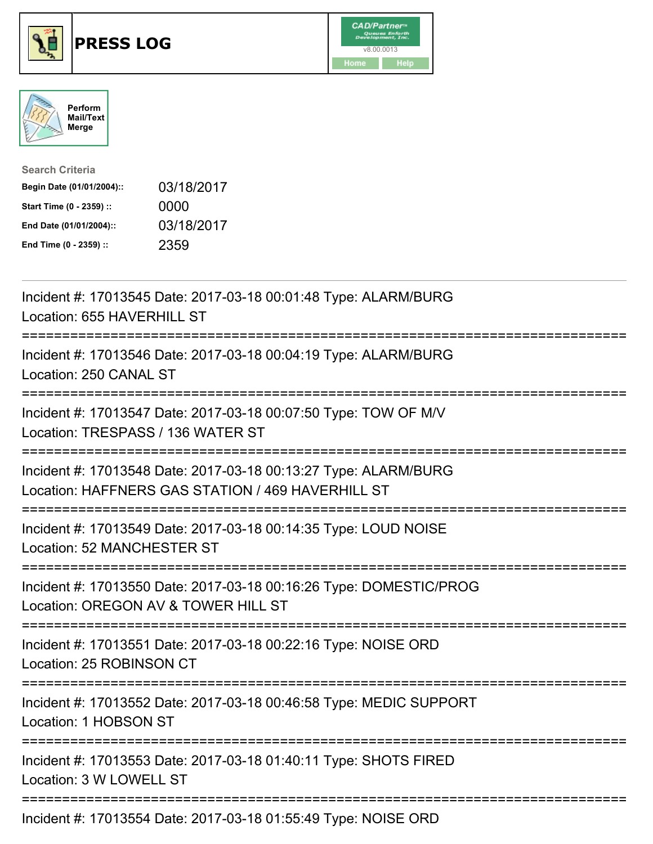





| <b>Search Criteria</b>    |            |
|---------------------------|------------|
| Begin Date (01/01/2004):: | 03/18/2017 |
| Start Time (0 - 2359) ::  | 0000       |
| End Date (01/01/2004)::   | 03/18/2017 |
| End Time (0 - 2359) ::    | 2359       |

| Incident #: 17013545 Date: 2017-03-18 00:01:48 Type: ALARM/BURG<br>Location: 655 HAVERHILL ST                        |
|----------------------------------------------------------------------------------------------------------------------|
| Incident #: 17013546 Date: 2017-03-18 00:04:19 Type: ALARM/BURG<br>Location: 250 CANAL ST                            |
| Incident #: 17013547 Date: 2017-03-18 00:07:50 Type: TOW OF M/V<br>Location: TRESPASS / 136 WATER ST                 |
| Incident #: 17013548 Date: 2017-03-18 00:13:27 Type: ALARM/BURG<br>Location: HAFFNERS GAS STATION / 469 HAVERHILL ST |
| Incident #: 17013549 Date: 2017-03-18 00:14:35 Type: LOUD NOISE<br>Location: 52 MANCHESTER ST<br>-----------------   |
| Incident #: 17013550 Date: 2017-03-18 00:16:26 Type: DOMESTIC/PROG<br>Location: OREGON AV & TOWER HILL ST            |
| Incident #: 17013551 Date: 2017-03-18 00:22:16 Type: NOISE ORD<br>Location: 25 ROBINSON CT                           |
| Incident #: 17013552 Date: 2017-03-18 00:46:58 Type: MEDIC SUPPORT<br>Location: 1 HOBSON ST                          |
| Incident #: 17013553 Date: 2017-03-18 01:40:11 Type: SHOTS FIRED<br>Location: 3 W LOWELL ST                          |
| Incident #: 17013554 Date: 2017-03-18 01:55:49 Type: NOISE ORD                                                       |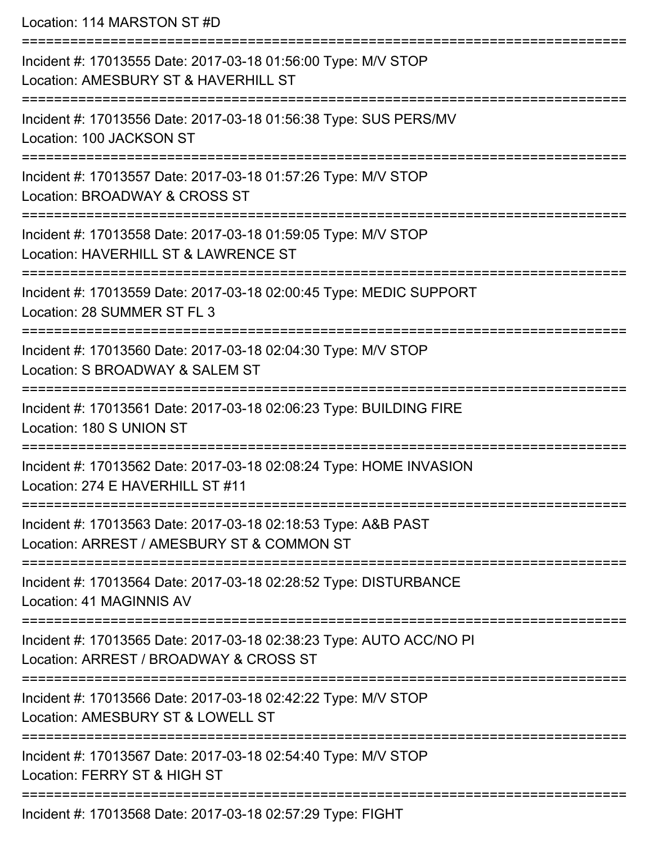Location: 114 MARSTON ST #D

| Incident #: 17013555 Date: 2017-03-18 01:56:00 Type: M/V STOP<br>Location: AMESBURY ST & HAVERHILL ST         |
|---------------------------------------------------------------------------------------------------------------|
| Incident #: 17013556 Date: 2017-03-18 01:56:38 Type: SUS PERS/MV<br>Location: 100 JACKSON ST                  |
| Incident #: 17013557 Date: 2017-03-18 01:57:26 Type: M/V STOP<br>Location: BROADWAY & CROSS ST                |
| Incident #: 17013558 Date: 2017-03-18 01:59:05 Type: M/V STOP<br>Location: HAVERHILL ST & LAWRENCE ST         |
| Incident #: 17013559 Date: 2017-03-18 02:00:45 Type: MEDIC SUPPORT<br>Location: 28 SUMMER ST FL 3             |
| Incident #: 17013560 Date: 2017-03-18 02:04:30 Type: M/V STOP<br>Location: S BROADWAY & SALEM ST              |
| Incident #: 17013561 Date: 2017-03-18 02:06:23 Type: BUILDING FIRE<br>Location: 180 S UNION ST                |
| Incident #: 17013562 Date: 2017-03-18 02:08:24 Type: HOME INVASION<br>Location: 274 E HAVERHILL ST #11        |
| Incident #: 17013563 Date: 2017-03-18 02:18:53 Type: A&B PAST<br>Location: ARREST / AMESBURY ST & COMMON ST   |
| Incident #: 17013564 Date: 2017-03-18 02:28:52 Type: DISTURBANCE<br>Location: 41 MAGINNIS AV                  |
| Incident #: 17013565 Date: 2017-03-18 02:38:23 Type: AUTO ACC/NO PI<br>Location: ARREST / BROADWAY & CROSS ST |
| Incident #: 17013566 Date: 2017-03-18 02:42:22 Type: M/V STOP<br>Location: AMESBURY ST & LOWELL ST            |
| Incident #: 17013567 Date: 2017-03-18 02:54:40 Type: M/V STOP<br>Location: FERRY ST & HIGH ST                 |
| Incident #: 17013568 Date: 2017-03-18 02:57:29 Type: FIGHT                                                    |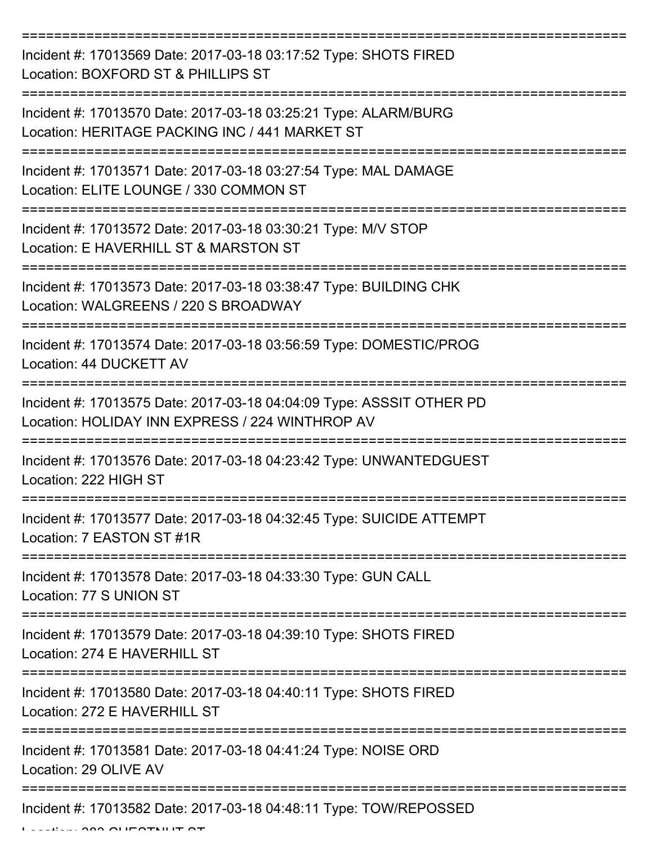=========================================================================== Incident #: 17013569 Date: 2017-03-18 03:17:52 Type: SHOTS FIRED Location: BOXFORD ST & PHILLIPS ST =========================================================================== Incident #: 17013570 Date: 2017-03-18 03:25:21 Type: ALARM/BURG Location: HERITAGE PACKING INC / 441 MARKET ST =========================================================================== Incident #: 17013571 Date: 2017-03-18 03:27:54 Type: MAL DAMAGE Location: ELITE LOUNGE / 330 COMMON ST =========================================================================== Incident #: 17013572 Date: 2017-03-18 03:30:21 Type: M/V STOP Location: E HAVERHILL ST & MARSTON ST =========================================================================== Incident #: 17013573 Date: 2017-03-18 03:38:47 Type: BUILDING CHK Location: WALGREENS / 220 S BROADWAY =========================================================================== Incident #: 17013574 Date: 2017-03-18 03:56:59 Type: DOMESTIC/PROG Location: 44 DUCKETT AV =========================================================================== Incident #: 17013575 Date: 2017-03-18 04:04:09 Type: ASSSIT OTHER PD Location: HOLIDAY INN EXPRESS / 224 WINTHROP AV =========================================================================== Incident #: 17013576 Date: 2017-03-18 04:23:42 Type: UNWANTEDGUEST Location: 222 HIGH ST =========================================================================== Incident #: 17013577 Date: 2017-03-18 04:32:45 Type: SUICIDE ATTEMPT Location: 7 EASTON ST #1R =========================================================================== Incident #: 17013578 Date: 2017-03-18 04:33:30 Type: GUN CALL Location: 77 S UNION ST =========================================================================== Incident #: 17013579 Date: 2017-03-18 04:39:10 Type: SHOTS FIRED Location: 274 E HAVERHILL ST =========================================================================== Incident #: 17013580 Date: 2017-03-18 04:40:11 Type: SHOTS FIRED Location: 272 F HAVERHILL ST =========================================================================== Incident #: 17013581 Date: 2017-03-18 04:41:24 Type: NOISE ORD Location: 29 OLIVE AV =========================================================================== Incident #: 17013582 Date: 2017-03-18 04:48:11 Type: TOW/REPOSSED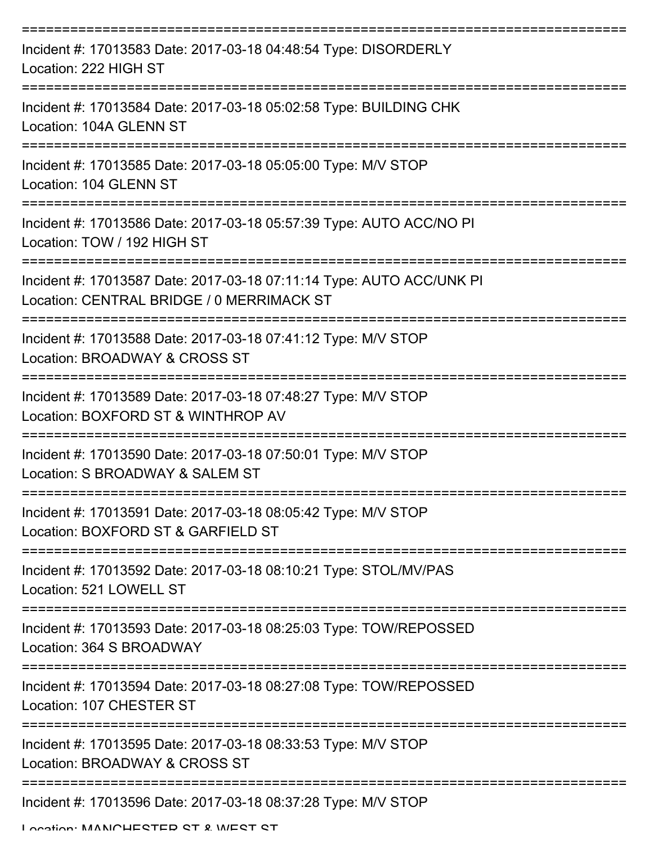| Incident #: 17013583 Date: 2017-03-18 04:48:54 Type: DISORDERLY<br>Location: 222 HIGH ST                          |
|-------------------------------------------------------------------------------------------------------------------|
| Incident #: 17013584 Date: 2017-03-18 05:02:58 Type: BUILDING CHK<br>Location: 104A GLENN ST                      |
| Incident #: 17013585 Date: 2017-03-18 05:05:00 Type: M/V STOP<br>Location: 104 GLENN ST                           |
| Incident #: 17013586 Date: 2017-03-18 05:57:39 Type: AUTO ACC/NO PI<br>Location: TOW / 192 HIGH ST                |
| Incident #: 17013587 Date: 2017-03-18 07:11:14 Type: AUTO ACC/UNK PI<br>Location: CENTRAL BRIDGE / 0 MERRIMACK ST |
| Incident #: 17013588 Date: 2017-03-18 07:41:12 Type: M/V STOP<br>Location: BROADWAY & CROSS ST                    |
| Incident #: 17013589 Date: 2017-03-18 07:48:27 Type: M/V STOP<br>Location: BOXFORD ST & WINTHROP AV               |
| Incident #: 17013590 Date: 2017-03-18 07:50:01 Type: M/V STOP<br>Location: S BROADWAY & SALEM ST                  |
| Incident #: 17013591 Date: 2017-03-18 08:05:42 Type: M/V STOP<br>Location: BOXFORD ST & GARFIELD ST               |
| Incident #: 17013592 Date: 2017-03-18 08:10:21 Type: STOL/MV/PAS<br>Location: 521 LOWELL ST                       |
| Incident #: 17013593 Date: 2017-03-18 08:25:03 Type: TOW/REPOSSED<br>Location: 364 S BROADWAY                     |
| Incident #: 17013594 Date: 2017-03-18 08:27:08 Type: TOW/REPOSSED<br>Location: 107 CHESTER ST                     |
| Incident #: 17013595 Date: 2017-03-18 08:33:53 Type: M/V STOP<br>Location: BROADWAY & CROSS ST                    |
| Incident #: 17013596 Date: 2017-03-18 08:37:28 Type: M/V STOP                                                     |

Location: MANICHESTED ST & WEST ST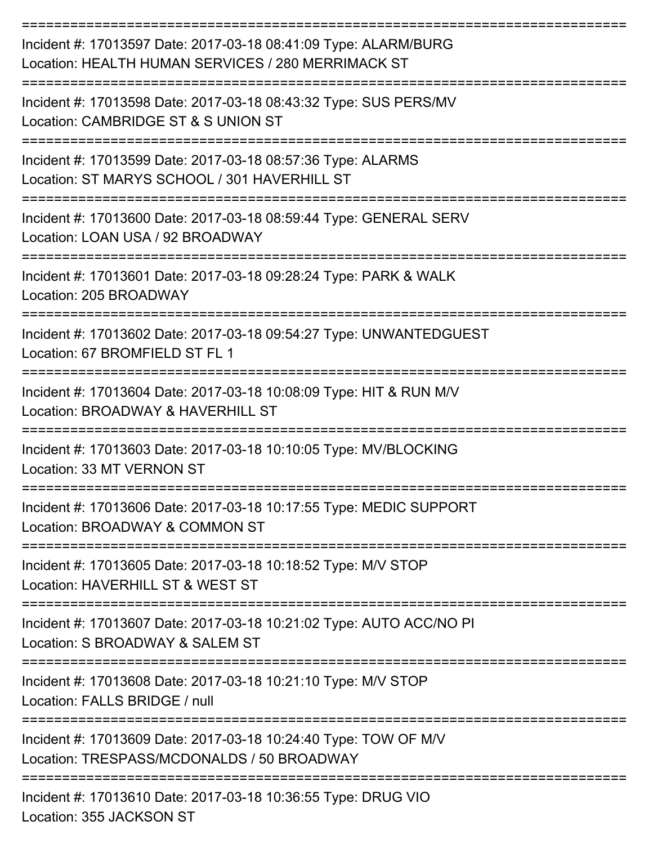| Incident #: 17013597 Date: 2017-03-18 08:41:09 Type: ALARM/BURG<br>Location: HEALTH HUMAN SERVICES / 280 MERRIMACK ST |
|-----------------------------------------------------------------------------------------------------------------------|
| Incident #: 17013598 Date: 2017-03-18 08:43:32 Type: SUS PERS/MV<br>Location: CAMBRIDGE ST & S UNION ST               |
| Incident #: 17013599 Date: 2017-03-18 08:57:36 Type: ALARMS<br>Location: ST MARYS SCHOOL / 301 HAVERHILL ST           |
| Incident #: 17013600 Date: 2017-03-18 08:59:44 Type: GENERAL SERV<br>Location: LOAN USA / 92 BROADWAY                 |
| Incident #: 17013601 Date: 2017-03-18 09:28:24 Type: PARK & WALK<br>Location: 205 BROADWAY                            |
| Incident #: 17013602 Date: 2017-03-18 09:54:27 Type: UNWANTEDGUEST<br>Location: 67 BROMFIELD ST FL 1                  |
| Incident #: 17013604 Date: 2017-03-18 10:08:09 Type: HIT & RUN M/V<br>Location: BROADWAY & HAVERHILL ST               |
| Incident #: 17013603 Date: 2017-03-18 10:10:05 Type: MV/BLOCKING<br>Location: 33 MT VERNON ST                         |
| Incident #: 17013606 Date: 2017-03-18 10:17:55 Type: MEDIC SUPPORT<br>Location: BROADWAY & COMMON ST                  |
| Incident #: 17013605 Date: 2017-03-18 10:18:52 Type: M/V STOP<br>Location: HAVERHILL ST & WEST ST                     |
| Incident #: 17013607 Date: 2017-03-18 10:21:02 Type: AUTO ACC/NO PI<br>Location: S BROADWAY & SALEM ST                |
| Incident #: 17013608 Date: 2017-03-18 10:21:10 Type: M/V STOP<br>Location: FALLS BRIDGE / null                        |
| Incident #: 17013609 Date: 2017-03-18 10:24:40 Type: TOW OF M/V<br>Location: TRESPASS/MCDONALDS / 50 BROADWAY         |
| -----------------------------<br>Incident #: 17013610 Date: 2017-03-18 10:36:55 Type: DRUG VIO                        |

Location: 355 JACKSON ST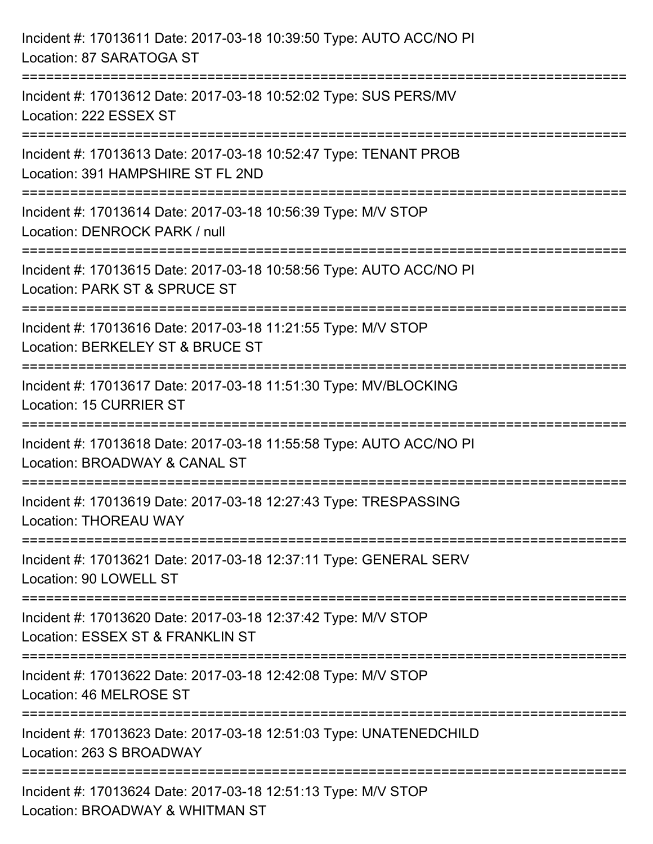| Incident #: 17013611 Date: 2017-03-18 10:39:50 Type: AUTO ACC/NO PI<br>Location: 87 SARATOGA ST                          |
|--------------------------------------------------------------------------------------------------------------------------|
| Incident #: 17013612 Date: 2017-03-18 10:52:02 Type: SUS PERS/MV<br>Location: 222 ESSEX ST                               |
| Incident #: 17013613 Date: 2017-03-18 10:52:47 Type: TENANT PROB<br>Location: 391 HAMPSHIRE ST FL 2ND                    |
| Incident #: 17013614 Date: 2017-03-18 10:56:39 Type: M/V STOP<br>Location: DENROCK PARK / null                           |
| Incident #: 17013615 Date: 2017-03-18 10:58:56 Type: AUTO ACC/NO PI<br>Location: PARK ST & SPRUCE ST                     |
| Incident #: 17013616 Date: 2017-03-18 11:21:55 Type: M/V STOP<br>Location: BERKELEY ST & BRUCE ST<br>:================== |
| Incident #: 17013617 Date: 2017-03-18 11:51:30 Type: MV/BLOCKING<br>Location: 15 CURRIER ST                              |
| Incident #: 17013618 Date: 2017-03-18 11:55:58 Type: AUTO ACC/NO PI<br>Location: BROADWAY & CANAL ST                     |
| Incident #: 17013619 Date: 2017-03-18 12:27:43 Type: TRESPASSING<br><b>Location: THOREAU WAY</b>                         |
| Incident #: 17013621 Date: 2017-03-18 12:37:11 Type: GENERAL SERV<br>Location: 90 LOWELL ST                              |
| Incident #: 17013620 Date: 2017-03-18 12:37:42 Type: M/V STOP<br>Location: ESSEX ST & FRANKLIN ST                        |
| Incident #: 17013622 Date: 2017-03-18 12:42:08 Type: M/V STOP<br>Location: 46 MELROSE ST                                 |
| Incident #: 17013623 Date: 2017-03-18 12:51:03 Type: UNATENEDCHILD<br>Location: 263 S BROADWAY                           |
| Incident #: 17013624 Date: 2017-03-18 12:51:13 Type: M/V STOP<br>Location: BROADWAY & WHITMAN ST                         |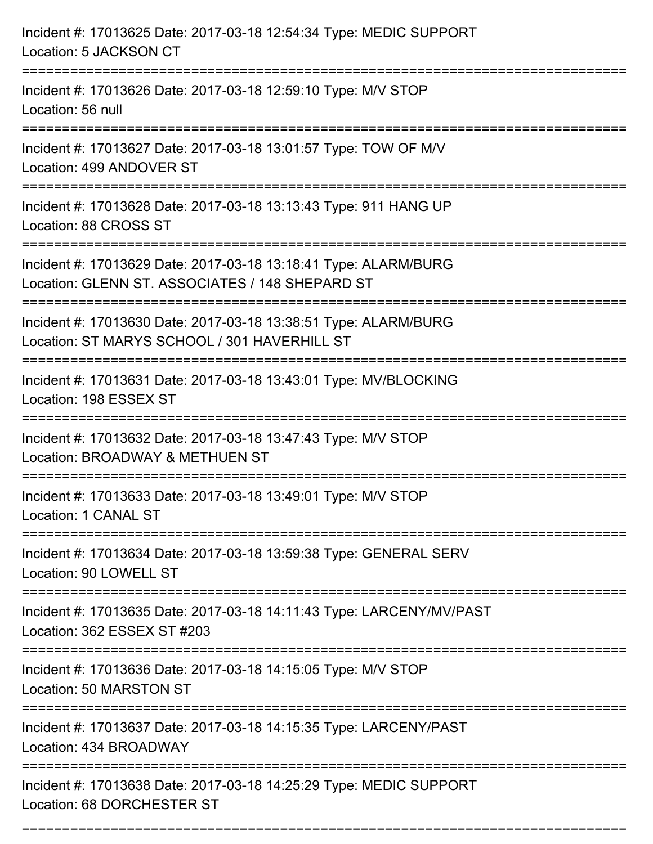| Incident #: 17013625 Date: 2017-03-18 12:54:34 Type: MEDIC SUPPORT<br>Location: 5 JACKSON CT                                              |
|-------------------------------------------------------------------------------------------------------------------------------------------|
| Incident #: 17013626 Date: 2017-03-18 12:59:10 Type: M/V STOP<br>Location: 56 null                                                        |
| Incident #: 17013627 Date: 2017-03-18 13:01:57 Type: TOW OF M/V<br>Location: 499 ANDOVER ST<br>:=====================                     |
| Incident #: 17013628 Date: 2017-03-18 13:13:43 Type: 911 HANG UP<br>Location: 88 CROSS ST                                                 |
| Incident #: 17013629 Date: 2017-03-18 13:18:41 Type: ALARM/BURG<br>Location: GLENN ST. ASSOCIATES / 148 SHEPARD ST<br>=================== |
| Incident #: 17013630 Date: 2017-03-18 13:38:51 Type: ALARM/BURG<br>Location: ST MARYS SCHOOL / 301 HAVERHILL ST                           |
| Incident #: 17013631 Date: 2017-03-18 13:43:01 Type: MV/BLOCKING<br>Location: 198 ESSEX ST<br>=======================                     |
| Incident #: 17013632 Date: 2017-03-18 13:47:43 Type: M/V STOP<br>Location: BROADWAY & METHUEN ST                                          |
| Incident #: 17013633 Date: 2017-03-18 13:49:01 Type: M/V STOP<br>Location: 1 CANAL ST                                                     |
| Incident #: 17013634 Date: 2017-03-18 13:59:38 Type: GENERAL SERV<br>Location: 90 LOWELL ST                                               |
| Incident #: 17013635 Date: 2017-03-18 14:11:43 Type: LARCENY/MV/PAST<br>Location: 362 ESSEX ST #203                                       |
| Incident #: 17013636 Date: 2017-03-18 14:15:05 Type: M/V STOP<br>Location: 50 MARSTON ST                                                  |
| Incident #: 17013637 Date: 2017-03-18 14:15:35 Type: LARCENY/PAST<br>Location: 434 BROADWAY                                               |
| Incident #: 17013638 Date: 2017-03-18 14:25:29 Type: MEDIC SUPPORT<br>Location: 68 DORCHESTER ST                                          |

===========================================================================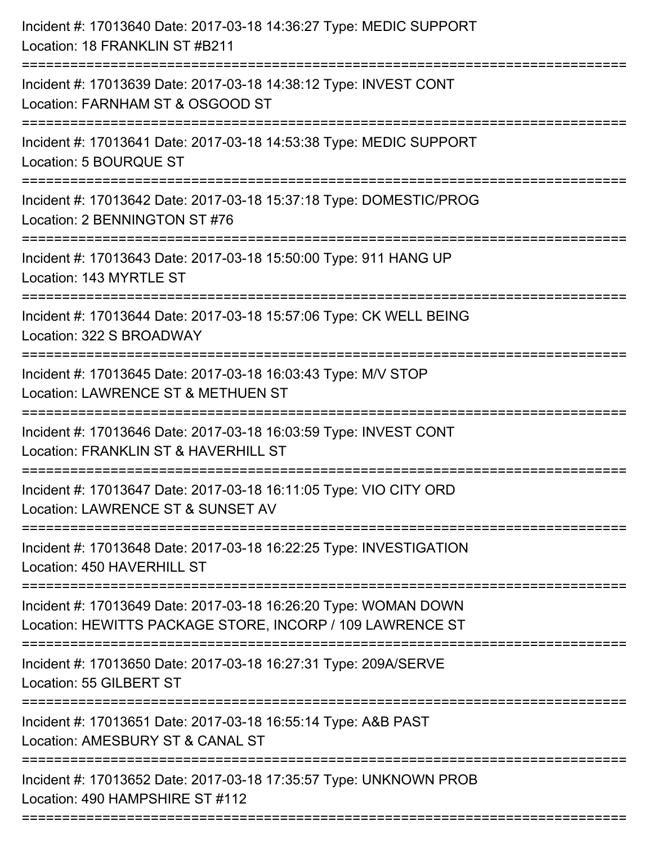| Incident #: 17013640 Date: 2017-03-18 14:36:27 Type: MEDIC SUPPORT<br>Location: 18 FRANKLIN ST #B211                         |
|------------------------------------------------------------------------------------------------------------------------------|
| Incident #: 17013639 Date: 2017-03-18 14:38:12 Type: INVEST CONT<br>Location: FARNHAM ST & OSGOOD ST                         |
| Incident #: 17013641 Date: 2017-03-18 14:53:38 Type: MEDIC SUPPORT<br>Location: 5 BOURQUE ST                                 |
| Incident #: 17013642 Date: 2017-03-18 15:37:18 Type: DOMESTIC/PROG<br>Location: 2 BENNINGTON ST #76                          |
| Incident #: 17013643 Date: 2017-03-18 15:50:00 Type: 911 HANG UP<br>Location: 143 MYRTLE ST                                  |
| Incident #: 17013644 Date: 2017-03-18 15:57:06 Type: CK WELL BEING<br>Location: 322 S BROADWAY                               |
| Incident #: 17013645 Date: 2017-03-18 16:03:43 Type: M/V STOP<br>Location: LAWRENCE ST & METHUEN ST                          |
| Incident #: 17013646 Date: 2017-03-18 16:03:59 Type: INVEST CONT<br>Location: FRANKLIN ST & HAVERHILL ST                     |
| Incident #: 17013647 Date: 2017-03-18 16:11:05 Type: VIO CITY ORD<br>Location: LAWRENCE ST & SUNSET AV                       |
| Incident #: 17013648 Date: 2017-03-18 16:22:25 Type: INVESTIGATION<br>Location: 450 HAVERHILL ST                             |
| Incident #: 17013649 Date: 2017-03-18 16:26:20 Type: WOMAN DOWN<br>Location: HEWITTS PACKAGE STORE, INCORP / 109 LAWRENCE ST |
| Incident #: 17013650 Date: 2017-03-18 16:27:31 Type: 209A/SERVE<br>Location: 55 GILBERT ST                                   |
| Incident #: 17013651 Date: 2017-03-18 16:55:14 Type: A&B PAST<br>Location: AMESBURY ST & CANAL ST                            |
| Incident #: 17013652 Date: 2017-03-18 17:35:57 Type: UNKNOWN PROB<br>Location: 490 HAMPSHIRE ST #112                         |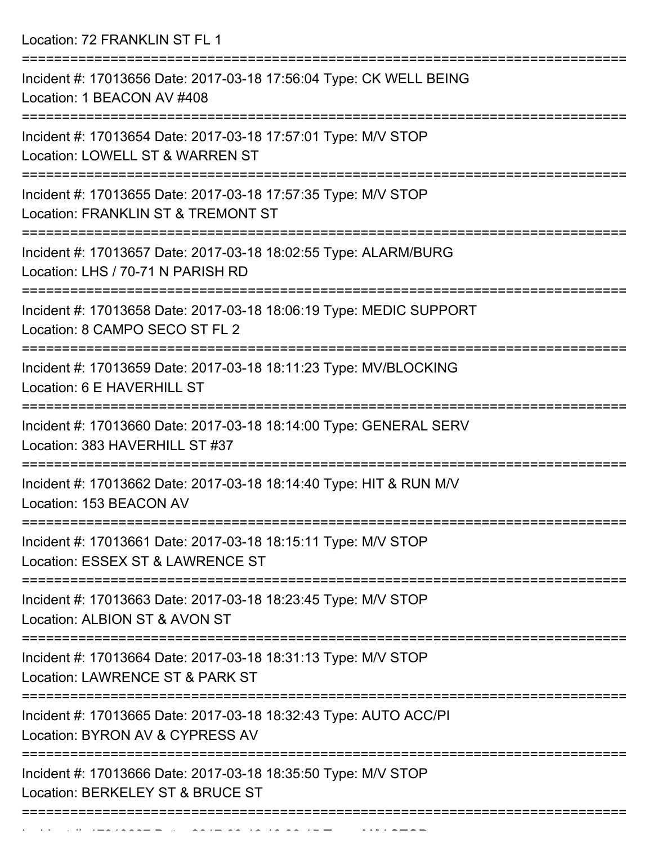Location: 72 FRANKLIN ST FL 1

| Incident #: 17013656 Date: 2017-03-18 17:56:04 Type: CK WELL BEING<br>Location: 1 BEACON AV #408     |
|------------------------------------------------------------------------------------------------------|
| Incident #: 17013654 Date: 2017-03-18 17:57:01 Type: M/V STOP<br>Location: LOWELL ST & WARREN ST     |
| Incident #: 17013655 Date: 2017-03-18 17:57:35 Type: M/V STOP<br>Location: FRANKLIN ST & TREMONT ST  |
| Incident #: 17013657 Date: 2017-03-18 18:02:55 Type: ALARM/BURG<br>Location: LHS / 70-71 N PARISH RD |
| Incident #: 17013658 Date: 2017-03-18 18:06:19 Type: MEDIC SUPPORT<br>Location: 8 CAMPO SECO ST FL 2 |
| Incident #: 17013659 Date: 2017-03-18 18:11:23 Type: MV/BLOCKING<br>Location: 6 E HAVERHILL ST       |
| Incident #: 17013660 Date: 2017-03-18 18:14:00 Type: GENERAL SERV<br>Location: 383 HAVERHILL ST #37  |
| Incident #: 17013662 Date: 2017-03-18 18:14:40 Type: HIT & RUN M/V<br>Location: 153 BEACON AV        |
| Incident #: 17013661 Date: 2017-03-18 18:15:11 Type: M/V STOP<br>Location: ESSEX ST & LAWRENCE ST    |
| Incident #: 17013663 Date: 2017-03-18 18:23:45 Type: M/V STOP<br>Location: ALBION ST & AVON ST       |
| Incident #: 17013664 Date: 2017-03-18 18:31:13 Type: M/V STOP<br>Location: LAWRENCE ST & PARK ST     |
| Incident #: 17013665 Date: 2017-03-18 18:32:43 Type: AUTO ACC/PI<br>Location: BYRON AV & CYPRESS AV  |
| Incident #: 17013666 Date: 2017-03-18 18:35:50 Type: M/V STOP<br>Location: BERKELEY ST & BRUCE ST    |
|                                                                                                      |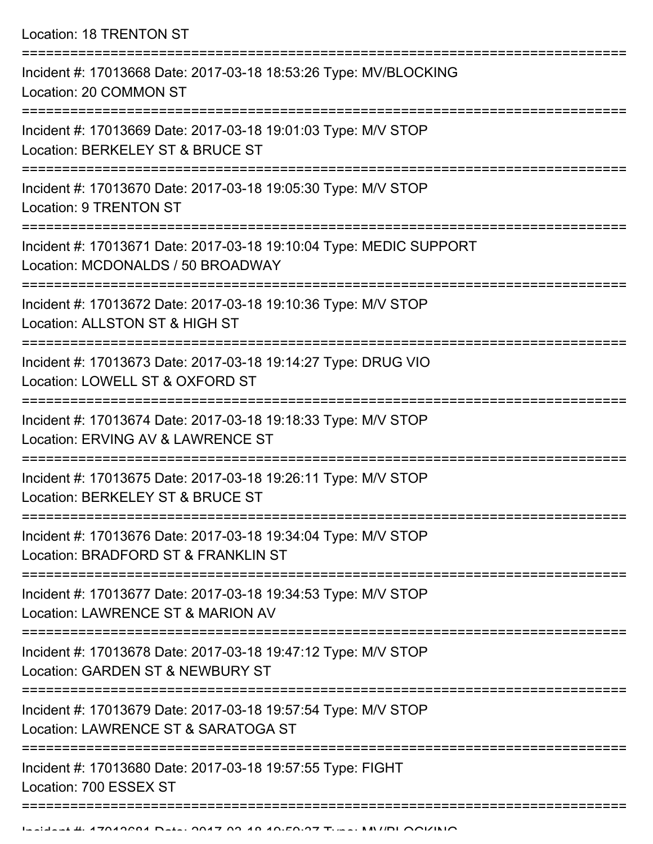Location: 18 TRENTON ST

| Incident #: 17013668 Date: 2017-03-18 18:53:26 Type: MV/BLOCKING<br>Location: 20 COMMON ST              |
|---------------------------------------------------------------------------------------------------------|
| Incident #: 17013669 Date: 2017-03-18 19:01:03 Type: M/V STOP<br>Location: BERKELEY ST & BRUCE ST       |
| Incident #: 17013670 Date: 2017-03-18 19:05:30 Type: M/V STOP<br>Location: 9 TRENTON ST                 |
| Incident #: 17013671 Date: 2017-03-18 19:10:04 Type: MEDIC SUPPORT<br>Location: MCDONALDS / 50 BROADWAY |
| Incident #: 17013672 Date: 2017-03-18 19:10:36 Type: M/V STOP<br>Location: ALLSTON ST & HIGH ST         |
| Incident #: 17013673 Date: 2017-03-18 19:14:27 Type: DRUG VIO<br>Location: LOWELL ST & OXFORD ST        |
| Incident #: 17013674 Date: 2017-03-18 19:18:33 Type: M/V STOP<br>Location: ERVING AV & LAWRENCE ST      |
| Incident #: 17013675 Date: 2017-03-18 19:26:11 Type: M/V STOP<br>Location: BERKELEY ST & BRUCE ST       |
| Incident #: 17013676 Date: 2017-03-18 19:34:04 Type: M/V STOP<br>Location: BRADFORD ST & FRANKLIN ST    |
| Incident #: 17013677 Date: 2017-03-18 19:34:53 Type: M/V STOP<br>Location: LAWRENCE ST & MARION AV      |
| Incident #: 17013678 Date: 2017-03-18 19:47:12 Type: M/V STOP<br>Location: GARDEN ST & NEWBURY ST       |
| Incident #: 17013679 Date: 2017-03-18 19:57:54 Type: M/V STOP<br>Location: LAWRENCE ST & SARATOGA ST    |
| Incident #: 17013680 Date: 2017-03-18 19:57:55 Type: FIGHT<br>Location: 700 ESSEX ST                    |
|                                                                                                         |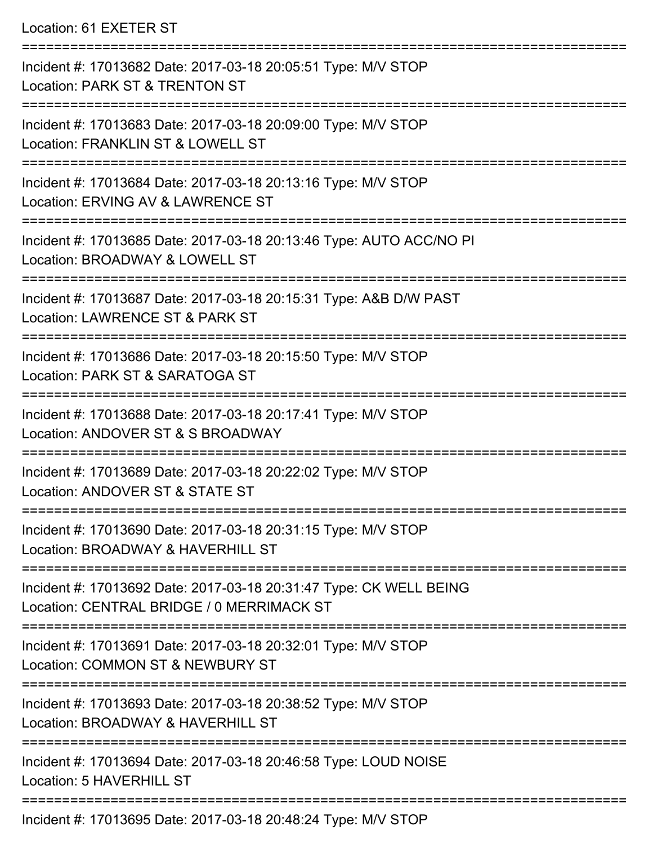## Location: 61 EXETER ST

| Incident #: 17013682 Date: 2017-03-18 20:05:51 Type: M/V STOP<br>Location: PARK ST & TRENTON ST                   |
|-------------------------------------------------------------------------------------------------------------------|
| Incident #: 17013683 Date: 2017-03-18 20:09:00 Type: M/V STOP<br>Location: FRANKLIN ST & LOWELL ST                |
| Incident #: 17013684 Date: 2017-03-18 20:13:16 Type: M/V STOP<br>Location: ERVING AV & LAWRENCE ST                |
| Incident #: 17013685 Date: 2017-03-18 20:13:46 Type: AUTO ACC/NO PI<br>Location: BROADWAY & LOWELL ST             |
| Incident #: 17013687 Date: 2017-03-18 20:15:31 Type: A&B D/W PAST<br>Location: LAWRENCE ST & PARK ST              |
| Incident #: 17013686 Date: 2017-03-18 20:15:50 Type: M/V STOP<br>Location: PARK ST & SARATOGA ST                  |
| Incident #: 17013688 Date: 2017-03-18 20:17:41 Type: M/V STOP<br>Location: ANDOVER ST & S BROADWAY                |
| Incident #: 17013689 Date: 2017-03-18 20:22:02 Type: M/V STOP<br>Location: ANDOVER ST & STATE ST<br>------------- |
| Incident #: 17013690 Date: 2017-03-18 20:31:15 Type: M/V STOP<br>Location: BROADWAY & HAVERHILL ST                |
| Incident #: 17013692 Date: 2017-03-18 20:31:47 Type: CK WELL BEING<br>Location: CENTRAL BRIDGE / 0 MERRIMACK ST   |
| Incident #: 17013691 Date: 2017-03-18 20:32:01 Type: M/V STOP<br>Location: COMMON ST & NEWBURY ST                 |
| Incident #: 17013693 Date: 2017-03-18 20:38:52 Type: M/V STOP<br>Location: BROADWAY & HAVERHILL ST                |
| Incident #: 17013694 Date: 2017-03-18 20:46:58 Type: LOUD NOISE<br>Location: 5 HAVERHILL ST                       |
| =============<br>Incident #: 17013695 Date: 2017-03-18 20:48:24 Type: M/V STOP                                    |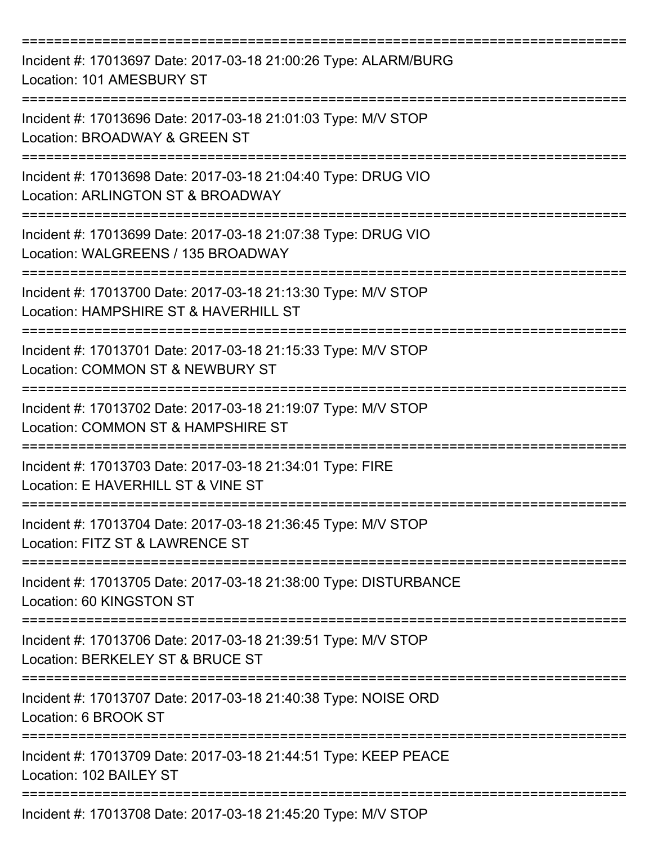| Incident #: 17013697 Date: 2017-03-18 21:00:26 Type: ALARM/BURG<br>Location: 101 AMESBURY ST                                 |
|------------------------------------------------------------------------------------------------------------------------------|
| Incident #: 17013696 Date: 2017-03-18 21:01:03 Type: M/V STOP<br>Location: BROADWAY & GREEN ST                               |
| Incident #: 17013698 Date: 2017-03-18 21:04:40 Type: DRUG VIO<br>Location: ARLINGTON ST & BROADWAY                           |
| Incident #: 17013699 Date: 2017-03-18 21:07:38 Type: DRUG VIO<br>Location: WALGREENS / 135 BROADWAY                          |
| Incident #: 17013700 Date: 2017-03-18 21:13:30 Type: M/V STOP<br>Location: HAMPSHIRE ST & HAVERHILL ST                       |
| =======================<br>Incident #: 17013701 Date: 2017-03-18 21:15:33 Type: M/V STOP<br>Location: COMMON ST & NEWBURY ST |
| Incident #: 17013702 Date: 2017-03-18 21:19:07 Type: M/V STOP<br>Location: COMMON ST & HAMPSHIRE ST                          |
| Incident #: 17013703 Date: 2017-03-18 21:34:01 Type: FIRE<br>Location: E HAVERHILL ST & VINE ST                              |
| Incident #: 17013704 Date: 2017-03-18 21:36:45 Type: M/V STOP<br>Location: FITZ ST & LAWRENCE ST                             |
| Incident #: 17013705 Date: 2017-03-18 21:38:00 Type: DISTURBANCE<br>Location: 60 KINGSTON ST                                 |
| Incident #: 17013706 Date: 2017-03-18 21:39:51 Type: M/V STOP<br>Location: BERKELEY ST & BRUCE ST                            |
| Incident #: 17013707 Date: 2017-03-18 21:40:38 Type: NOISE ORD<br>Location: 6 BROOK ST                                       |
| Incident #: 17013709 Date: 2017-03-18 21:44:51 Type: KEEP PEACE<br>Location: 102 BAILEY ST                                   |
| Incident #: 17013708 Date: 2017-03-18 21:45:20 Type: M/V STOP                                                                |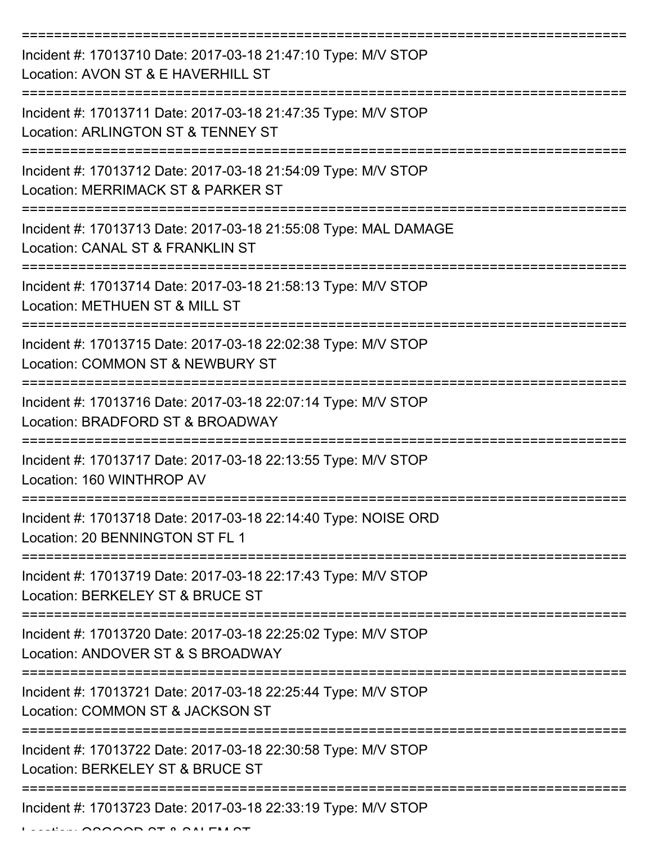| Incident #: 17013710 Date: 2017-03-18 21:47:10 Type: M/V STOP<br>Location: AVON ST & E HAVERHILL ST |
|-----------------------------------------------------------------------------------------------------|
| Incident #: 17013711 Date: 2017-03-18 21:47:35 Type: M/V STOP<br>Location: ARLINGTON ST & TENNEY ST |
| Incident #: 17013712 Date: 2017-03-18 21:54:09 Type: M/V STOP<br>Location: MERRIMACK ST & PARKER ST |
| Incident #: 17013713 Date: 2017-03-18 21:55:08 Type: MAL DAMAGE<br>Location: CANAL ST & FRANKLIN ST |
| Incident #: 17013714 Date: 2017-03-18 21:58:13 Type: M/V STOP<br>Location: METHUEN ST & MILL ST     |
| Incident #: 17013715 Date: 2017-03-18 22:02:38 Type: M/V STOP<br>Location: COMMON ST & NEWBURY ST   |
| Incident #: 17013716 Date: 2017-03-18 22:07:14 Type: M/V STOP<br>Location: BRADFORD ST & BROADWAY   |
| Incident #: 17013717 Date: 2017-03-18 22:13:55 Type: M/V STOP<br>Location: 160 WINTHROP AV          |
| Incident #: 17013718 Date: 2017-03-18 22:14:40 Type: NOISE ORD<br>Location: 20 BENNINGTON ST FL 1   |
| Incident #: 17013719 Date: 2017-03-18 22:17:43 Type: M/V STOP<br>Location: BERKELEY ST & BRUCE ST   |
| Incident #: 17013720 Date: 2017-03-18 22:25:02 Type: M/V STOP<br>Location: ANDOVER ST & S BROADWAY  |
| Incident #: 17013721 Date: 2017-03-18 22:25:44 Type: M/V STOP<br>Location: COMMON ST & JACKSON ST   |
| Incident #: 17013722 Date: 2017-03-18 22:30:58 Type: M/V STOP<br>Location: BERKELEY ST & BRUCE ST   |
| Incident #: 17013723 Date: 2017-03-18 22:33:19 Type: M/V STOP                                       |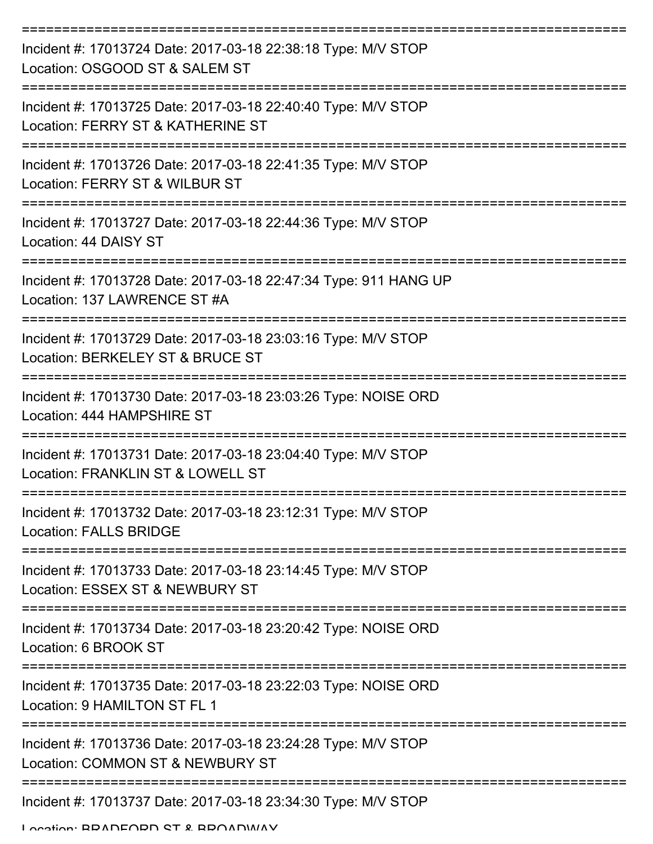| Incident #: 17013724 Date: 2017-03-18 22:38:18 Type: M/V STOP<br>Location: OSGOOD ST & SALEM ST                          |
|--------------------------------------------------------------------------------------------------------------------------|
| Incident #: 17013725 Date: 2017-03-18 22:40:40 Type: M/V STOP<br>Location: FERRY ST & KATHERINE ST                       |
| Incident #: 17013726 Date: 2017-03-18 22:41:35 Type: M/V STOP<br>Location: FERRY ST & WILBUR ST                          |
| Incident #: 17013727 Date: 2017-03-18 22:44:36 Type: M/V STOP<br>Location: 44 DAISY ST                                   |
| ====================<br>Incident #: 17013728 Date: 2017-03-18 22:47:34 Type: 911 HANG UP<br>Location: 137 LAWRENCE ST #A |
| Incident #: 17013729 Date: 2017-03-18 23:03:16 Type: M/V STOP<br>Location: BERKELEY ST & BRUCE ST                        |
| Incident #: 17013730 Date: 2017-03-18 23:03:26 Type: NOISE ORD<br>Location: 444 HAMPSHIRE ST                             |
| Incident #: 17013731 Date: 2017-03-18 23:04:40 Type: M/V STOP<br>Location: FRANKLIN ST & LOWELL ST                       |
| Incident #: 17013732 Date: 2017-03-18 23:12:31 Type: M/V STOP<br><b>Location: FALLS BRIDGE</b>                           |
| Incident #: 17013733 Date: 2017-03-18 23:14:45 Type: M/V STOP<br>Location: ESSEX ST & NEWBURY ST                         |
| Incident #: 17013734 Date: 2017-03-18 23:20:42 Type: NOISE ORD<br>Location: 6 BROOK ST                                   |
| Incident #: 17013735 Date: 2017-03-18 23:22:03 Type: NOISE ORD<br>Location: 9 HAMILTON ST FL 1                           |
| Incident #: 17013736 Date: 2017-03-18 23:24:28 Type: M/V STOP<br>Location: COMMON ST & NEWBURY ST                        |
| Incident #: 17013737 Date: 2017-03-18 23:34:30 Type: M/V STOP                                                            |

Location: BRADFORD ST & BROADWAY